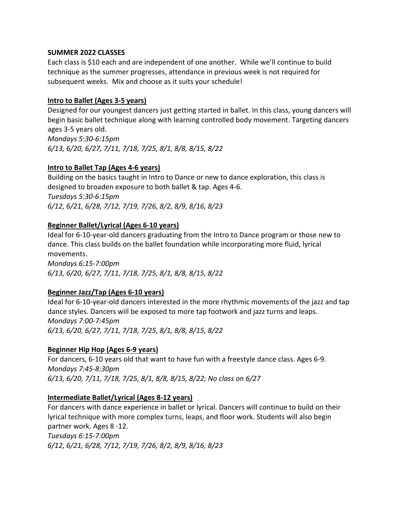#### **SUMMER 2022 CLASSES**

Each class is \$10 each and are independent of one another. While we'll continue to build technique as the summer progresses, attendance in previous week is not required for subsequent weeks. Mix and choose as it suits your schedule!

### **Intro to Ballet (Ages 3-5 years)**

Designed for our youngest dancers just getting started in ballet. In this class, young dancers will begin basic ballet technique along with learning controlled body movement. Targeting dancers ages 3-5 years old. *Mondays 5:30-6:15pm*

*6/13, 6/20, 6/27, 7/11, 7/18, 7/25, 8/1, 8/8, 8/15, 8/22*

### **Intro to Ballet Tap (Ages 4-6 years)**

Building on the basics taught in Intro to Dance or new to dance exploration, this class is designed to broaden exposure to both ballet & tap. Ages 4-6. *Tuesdays 5:30-6:15pm 6/12, 6/21, 6/28, 7/12, 7/19, 7/26, 8/2, 8/9, 8/16, 8/23*

### **Beginner Ballet/Lyrical (Ages 6-10 years)**

Ideal for 6-10-year-old dancers graduating from the Intro to Dance program or those new to dance. This class builds on the ballet foundation while incorporating more fluid, lyrical movements. *Mondays 6:15-7:00pm 6/13, 6/20, 6/27, 7/11, 7/18, 7/25, 8/1, 8/8, 8/15, 8/22*

#### **Beginner Jazz/Tap (Ages 6-10 years)**

Ideal for 6-10-year-old dancers interested in the more rhythmic movements of the jazz and tap dance styles. Dancers will be exposed to more tap footwork and jazz turns and leaps. *Mondays 7:00-7:45pm 6/13, 6/20, 6/27, 7/11, 7/18, 7/25, 8/1, 8/8, 8/15, 8/22*

#### **Beginner Hip Hop (Ages 6-9 years)**

For dancers, 6-10 years old that want to have fun with a freestyle dance class. Ages 6-9. *Mondays 7:45-8:30pm 6/13, 6/20, 7/11, 7/18, 7/25, 8/1, 8/8, 8/15, 8/22; No class on 6/27*

#### **Intermediate Ballet/Lyrical (Ages 8-12 years)**

For dancers with dance experience in ballet or lyrical. Dancers will continue to build on their lyrical technique with more complex turns, leaps, and floor work. Students will also begin partner work. Ages 8 -12.

*Tuesdays 6:15-7:00pm 6/12, 6/21, 6/28, 7/12, 7/19, 7/26, 8/2, 8/9, 8/16, 8/23*